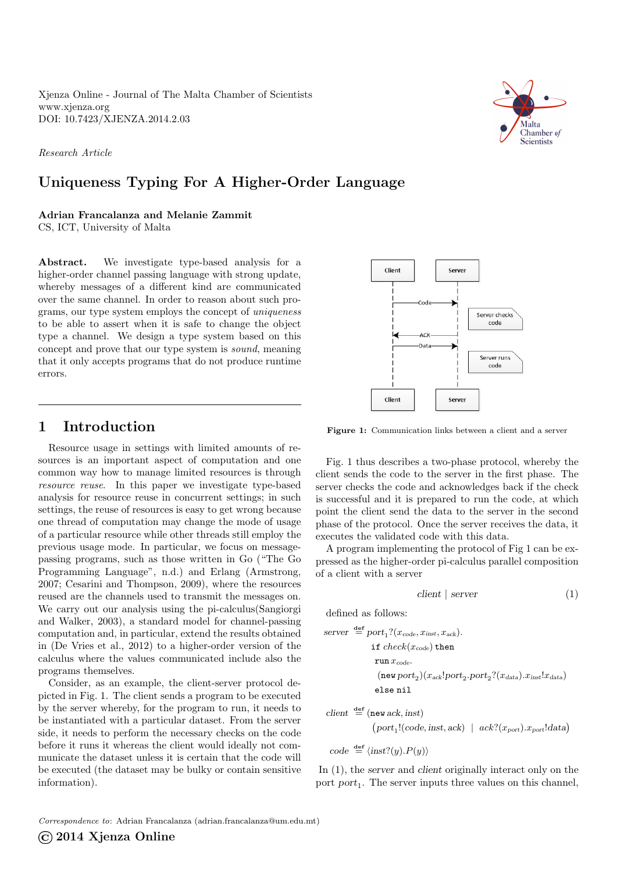Xjenza Online - Journal of The Malta Chamber of Scientists <www.xjenza.org> DOI:<10.7423/XJENZA.2014.2.03>

Research Article

# Uniqueness Typing For A Higher-Order Language

Adrian Francalanza and Melanie Zammit

CS, ICT, University of Malta

Abstract. We investigate type-based analysis for a higher-order channel passing language with strong update, whereby messages of a different kind are communicated over the same channel. In order to reason about such programs, our type system employs the concept of uniqueness to be able to assert when it is safe to change the object type a channel. We design a type system based on this concept and prove that our type system is sound, meaning that it only accepts programs that do not produce runtime errors.

## 1 Introduction

Resource usage in settings with limited amounts of resources is an important aspect of computation and one common way how to manage limited resources is through resource reuse. In this paper we investigate type-based analysis for resource reuse in concurrent settings; in such settings, the reuse of resources is easy to get wrong because one thread of computation may change the mode of usage of a particular resource while other threads still employ the previous usage mode. In particular, we focus on messagepassing programs, such as those written in Go ("The Go Programming Language", [n.d.\)](#page-5-0) and Erlang (Armstrong, [2007;](#page-5-1) Cesarini and Thompson, [2009\)](#page-5-2), where the resources reused are the channels used to transmit the messages on. We carry out our analysis using the pi-calculus(Sangiorgi and Walker, [2003\)](#page-6-0), a standard model for channel-passing computation and, in particular, extend the results obtained in (De Vries et al., [2012\)](#page-5-3) to a higher-order version of the calculus where the values communicated include also the programs themselves.

Consider, as an example, the client-server protocol depicted in Fig. [1.](#page-0-0) The client sends a program to be executed by the server whereby, for the program to run, it needs to be instantiated with a particular dataset. From the server side, it needs to perform the necessary checks on the code before it runs it whereas the client would ideally not communicate the dataset unless it is certain that the code will be executed (the dataset may be bulky or contain sensitive information).

Figure 1: Communication links between a client and a server

Fig. [1](#page-0-0) thus describes a two-phase protocol, whereby the client sends the code to the server in the first phase. The server checks the code and acknowledges back if the check is successful and it is prepared to run the code, at which point the client send the data to the server in the second phase of the protocol. Once the server receives the data, it executes the validated code with this data.

A program implementing the protocol of Fig [1](#page-0-0) can be expressed as the higher-order pi-calculus parallel composition of a client with a server

<span id="page-0-1"></span>
$$
client \mid server \tag{1}
$$

defined as follows:

server 
$$
\stackrel{\text{def}}{=} port_1?(x_{code}, x_{inst}, x_{ack}).
$$
  
\nif  $check(x_{code})$  then  
\nrun  $x_{code}$ .  
\n(new port<sub>2</sub>)( $x_{ack}$ !port<sub>2</sub>.port<sub>2</sub>?( $x_{data}$ ). $x_{inst}$ ! $x_{data}$ )  
\nelse nil

$$
\begin{aligned}\n\text{client} & \stackrel{\text{def}}{=} (\text{new ack}, \text{inst}) \\
& (port_1!(code, \text{inst}, \text{ack}) \mid \text{ack?}(x_{\text{port}}).x_{\text{port}}! \text{data})\n\end{aligned}
$$

$$
code \stackrel{\text{def}}{=} \langle \text{inst?}(y).P(y) \rangle
$$

In [\(1\)](#page-0-1), the server and client originally interact only on the port  $port_1$ . The server inputs three values on this channel,



<span id="page-0-0"></span>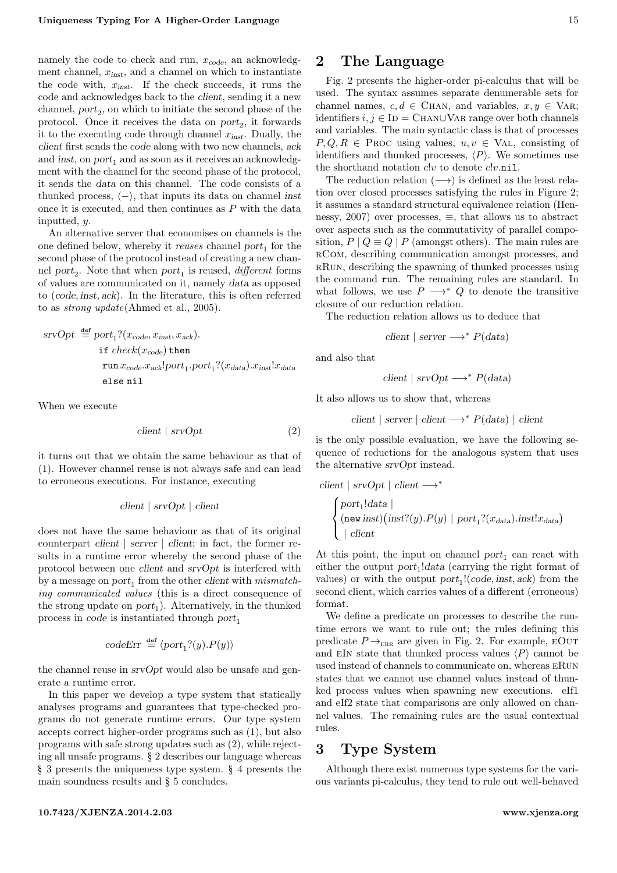namely the code to check and run,  $x_{code}$ , an acknowledgment channel,  $x_{inst}$ , and a channel on which to instantiate the code with,  $x_{inst}$ . If the check succeeds, it runs the code and acknowledges back to the client, sending it a new channel,  $port_2$ , on which to initiate the second phase of the protocol. Once it receives the data on  $port_2$ , it forwards it to the executing code through channel  $x_{inst}$ . Dually, the client first sends the code along with two new channels, ack and inst, on  $port_1$  and as soon as it receives an acknowledgment with the channel for the second phase of the protocol, it sends the data on this channel. The code consists of a thunked process,  $\langle - \rangle$ , that inputs its data on channel inst once it is executed, and then continues as  $P$  with the data inputted, y.

An alternative server that economises on channels is the one defined below, whereby it *reuses* channel  $port_1$  for the second phase of the protocol instead of creating a new channel port<sub>2</sub>. Note that when port<sub>1</sub> is reused, *different* forms of values are communicated on it, namely data as opposed to (code, inst, ack). In the literature, this is often referred to as strong update(Ahmed et al., [2005\)](#page-5-4).

$$
srvOpt \stackrel{\text{def}}{=} port_1?(x_{code}, x_{\text{inst}}, x_{\text{ack}}).
$$
  
\nif  $check(x_{code})$  then  
\n
$$
run x_{code}.x_{ack}!port_1.port_1?(x_{data}).x_{\text{inst}}!x_{data}
$$
  
\nelse nil

When we execute

<span id="page-1-0"></span>
$$
client \mid srvOpt \tag{2}
$$

it turns out that we obtain the same behaviour as that of [\(1\)](#page-0-1). However channel reuse is not always safe and can lead to erroneous executions. For instance, executing

$$
client \mid srvOpt \mid client
$$

does not have the same behaviour as that of its original counterpart client  $\vert$  server  $\vert$  client; in fact, the former results in a runtime error whereby the second phase of the protocol between one client and srvOpt is interfered with by a message on  $port_1$  from the other *client* with  $mismatch$ ing communicated values (this is a direct consequence of the strong update on  $port_1$ ). Alternatively, in the thunked process in code is instantiated through  $port_1$ 

$$
codeErr \stackrel{\text{def}}{=} \langle port_1 ?(y).P(y) \rangle
$$

the channel reuse in srvOpt would also be unsafe and generate a runtime error.

In this paper we develop a type system that statically analyses programs and guarantees that type-checked programs do not generate runtime errors. Our type system accepts correct higher-order programs such as [\(1\)](#page-0-1), but also programs with safe strong updates such as [\(2\)](#page-1-0), while rejecting all unsafe programs. § [2](#page-1-1) describes our language whereas § [3](#page-1-2) presents the uniqueness type system. § [4](#page-4-0) presents the main soundness results and § [5](#page-5-5) concludes.

#### <span id="page-1-1"></span><10.7423/XJENZA.2014.2.03> <www.xjenza.org>

## 2 The Language

Fig. [2](#page-2-0) presents the higher-order pi-calculus that will be used. The syntax assumes separate denumerable sets for channel names,  $c, d \in$  CHAN, and variables,  $x, y \in$  VAR; identifiers  $i, j \in$  ID = CHAN∪VAR range over both channels and variables. The main syntactic class is that of processes  $P, Q, R \in \text{Proc using values}, u, v \in \text{VAL}, \text{ consisting of}$ identifiers and thunked processes,  $\langle P \rangle$ . We sometimes use the shorthand notation  $c!v$  to denote  $c!v$ .nil.

The reduction relation  $(\longrightarrow)$  is defined as the least relation over closed processes satisfying the rules in Figure [2;](#page-2-0) it assumes a standard structural equivalence relation (Hen-nessy, [2007\)](#page-5-6) over processes,  $\equiv$ , that allows us to abstract over aspects such as the commutativity of parallel composition,  $P | Q \equiv Q | P$  (amongst others). The main rules are rCom, describing communication amongst processes, and rRun, describing the spawning of thunked processes using the command run. The remaining rules are standard. In what follows, we use  $P \longrightarrow^* Q$  to denote the transitive closure of our reduction relation.

The reduction relation allows us to deduce that

$$
client \mid server \longrightarrow^* P(data)
$$

and also that

$$
client \mid srvOpt \longrightarrow^* P(data)
$$

It also allows us to show that, whereas

client  $\vert$  server  $\vert$  client  $\longrightarrow^* P(data) \vert$  client

is the only possible evaluation, we have the following sequence of reductions for the analogous system that uses the alternative srvOpt instead.

$$
\begin{array}{l} \text{client} \mid \text{srvOpt} \mid \text{client} \longrightarrow^* \\ \begin{cases} \text{port}_1! \text{data} \mid \\ (\text{new inst}) (\text{inst?}(y).P(y) \mid \text{port}_1? (x_{\text{data}}). \text{inst!} x_{\text{data}}) \\ \mid \text{client} \end{cases} \end{array}
$$

At this point, the input on channel  $port_1$  can react with either the output  $port_1!data$  (carrying the right format of values) or with the output  $port_1!(code,inst,ack)$  from the second client, which carries values of a different (erroneous) format.

We define a predicate on processes to describe the runtime errors we want to rule out; the rules defining this predicate  $P \rightarrow_{\text{ERR}}$  are given in Fig. [2.](#page-2-0) For example, EOUT and EIN state that thunked process values  $\langle P \rangle$  cannot be used instead of channels to communicate on, whereas eRun states that we cannot use channel values instead of thunked process values when spawning new executions. eIf1 and eIf2 state that comparisons are only allowed on channel values. The remaining rules are the usual contextual rules.

# <span id="page-1-2"></span>3 Type System

Although there exist numerous type systems for the various variants pi-calculus, they tend to rule out well-behaved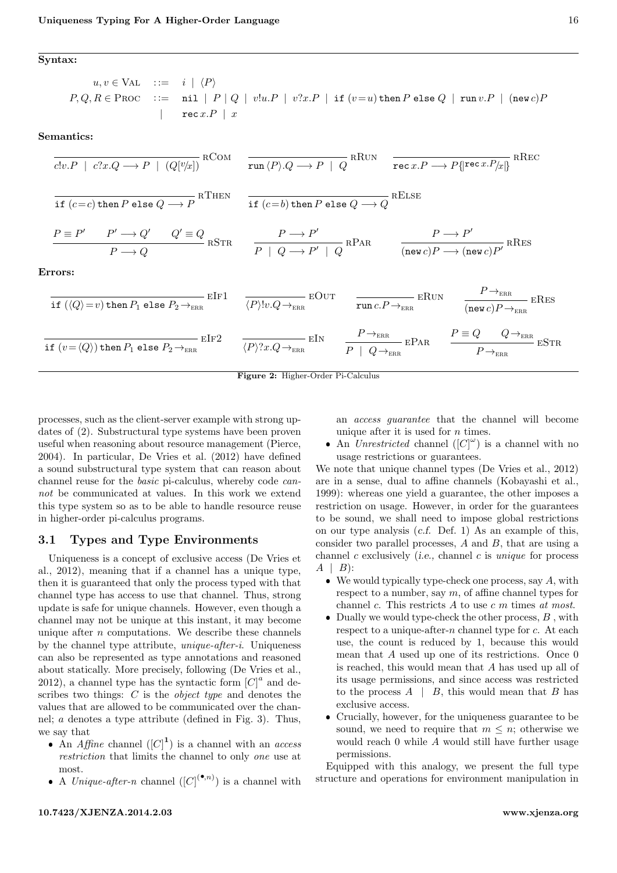<span id="page-2-0"></span>Syntax:

$$
u, v \in \text{VAL} \quad ::= \quad i \mid \langle P \rangle
$$
\n
$$
P, Q, R \in \text{PROC} \quad ::= \quad \text{nil} \mid P \mid Q \mid v!u.P \mid v?x.P \mid \text{if} (v=u) \text{ then } P \text{ else } Q \mid \text{run } v.P \mid (\text{new } c) P \mid \text{rec } x.P \mid x
$$

Semantics:

$$
\frac{1}{c!v.P \mid c?x.Q \to P \mid (Q[v/x])} \text{RCOM} \quad \frac{}{\text{run } \langle P \rangle .Q \to P \mid Q} \text{RRW} \quad \frac{}{\text{rec } x.P \to P \{\text{rec } x.P/x\}} \text{RRec}
$$
\n
$$
\frac{}{\text{if } (c=c) \text{ then } P \text{ else } Q \to P} \text{RTHEN} \quad \frac{}{\text{if } (c=b) \text{ then } P \text{ else } Q \to Q} \text{RELSE}
$$
\n
$$
\frac{P \equiv P' \quad P' \to Q' \quad Q' \equiv Q}{P \to Q} \text{RSTR} \quad \frac{P \to P'}{P \mid Q \to P' \mid Q} \text{RPAR} \quad \frac{P \to P'}{(\text{new } c)P \to (\text{new } c)P} \text{RRES}
$$
\n
$$
\frac{}{\text{Errors:}}
$$
\n
$$
\frac{}{\text{if } (\langle Q \rangle = v) \text{ then } P_1 \text{ else } P_2 \to_{\text{ERR}} \text{EIF1}} \quad \frac{}{\langle P \rangle !v.Q \to_{\text{ERR}} \text{EOVT}} \quad \frac{}{\text{EIV}} \quad \frac{P \to_{\text{ERR}}}{\text{run } c.P \to_{\text{ERR}}} \text{ERN} \quad \frac{P \to_{\text{ERR}}}{(\text{new } c)P \to_{\text{ERR}}} \text{ERES}
$$
\n
$$
\frac{}{\text{if } (v = \langle Q \rangle) \text{ then } P_1 \text{ else } P_2 \to_{\text{ERR}} \text{EIF2}} \quad \frac{}{\langle P \rangle ?x.Q \to_{\text{RR}} \text{EIN}} \quad \frac{P \to_{\text{ERR}}}{P \mid Q \to_{\text{ERR}}} \text{EPAR} \quad \frac{P \equiv Q \quad Q \to_{\text{ERR}} \text{ESTR}}{P \to_{\text{PR}} \text{ESTR}} \text{ESTR}
$$



processes, such as the client-server example with strong updates of [\(2\)](#page-1-0). Substructural type systems have been proven useful when reasoning about resource management (Pierce, [2004\)](#page-6-1). In particular, De Vries et al. [\(2012\)](#page-5-3) have defined a sound substructural type system that can reason about channel reuse for the basic pi-calculus, whereby code cannot be communicated at values. In this work we extend this type system so as to be able to handle resource reuse in higher-order pi-calculus programs.

### 3.1 Types and Type Environments

Uniqueness is a concept of exclusive access (De Vries et al., [2012\)](#page-5-3), meaning that if a channel has a unique type, then it is guaranteed that only the process typed with that channel type has access to use that channel. Thus, strong update is safe for unique channels. However, even though a channel may not be unique at this instant, it may become unique after  $n$  computations. We describe these channels by the channel type attribute, unique-after-i. Uniqueness can also be represented as type annotations and reasoned about statically. More precisely, following (De Vries et al., [2012\)](#page-5-3), a channel type has the syntactic form  $|C|^a$  and describes two things: C is the object type and denotes the values that are allowed to be communicated over the channel; a denotes a type attribute (defined in Fig. [3\)](#page-3-0). Thus, we say that

- An *Affine* channel  $([C]^{1})$  is a channel with an *access* restriction that limits the channel to only one use at most.
- A Unique-after-n channel  $([C]^{(\bullet,n)})$  is a channel with

an access guarantee that the channel will become unique after it is used for  $n$  times.

• An Unrestricted channel  $([C]^{\omega})$  is a channel with no usage restrictions or guarantees.

We note that unique channel types (De Vries et al., [2012\)](#page-5-3) are in a sense, dual to affine channels (Kobayashi et al., [1999\)](#page-6-2): whereas one yield a guarantee, the other imposes a restriction on usage. However, in order for the guarantees to be sound, we shall need to impose global restrictions on our type analysis (c.f. Def. [1\)](#page-4-1) As an example of this, consider two parallel processes, A and B, that are using a channel  $c$  exclusively (*i.e.*, channel  $c$  is *unique* for process  $A | B$ :

- $\bullet$  We would typically type-check one process, say A, with respect to a number, say  $m$ , of affine channel types for channel  $c$ . This restricts  $A$  to use  $c$  m times at most.
- $\bullet$  Dually we would type-check the other process,  $B$ , with respect to a unique-after-n channel type for  $c$ . At each use, the count is reduced by 1, because this would mean that A used up one of its restrictions. Once 0 is reached, this would mean that A has used up all of its usage permissions, and since access was restricted to the process  $A \mid B$ , this would mean that B has exclusive access.
- Crucially, however, for the uniqueness guarantee to be sound, we need to require that  $m \leq n$ ; otherwise we would reach 0 while A would still have further usage permissions.

Equipped with this analogy, we present the full type structure and operations for environment manipulation in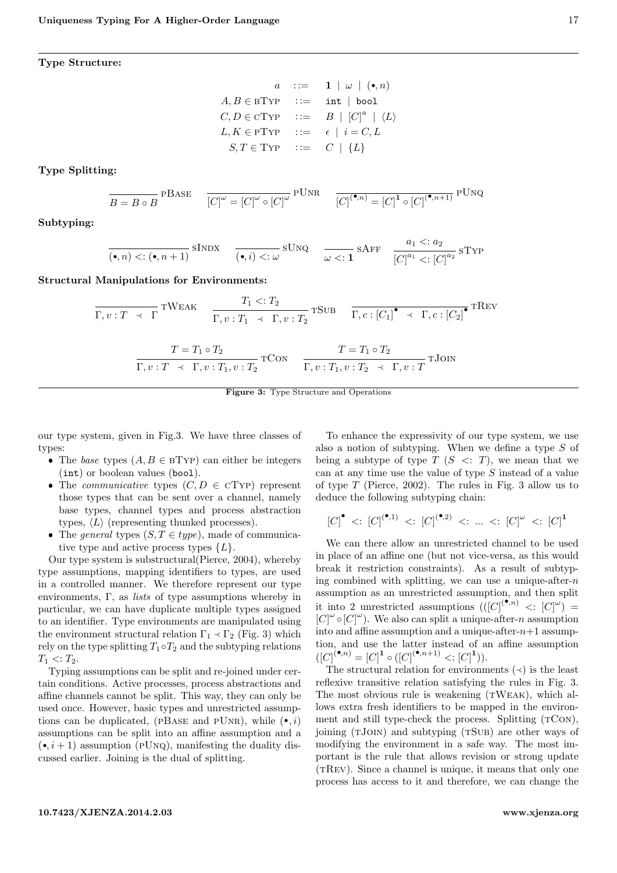<span id="page-3-0"></span>Type Structure:

$$
a \quad ::= \quad \mathbf{1} \mid \omega \mid (\bullet, n)
$$
\n
$$
A, B \in \text{BType} \quad ::= \quad \text{int} \mid \text{bool}
$$
\n
$$
C, D \in \text{CType} \quad ::= \quad B \mid [C]^a \mid \langle L \rangle
$$
\n
$$
L, K \in \text{PTYP} \quad ::= \quad \epsilon \mid i = C, L
$$
\n
$$
S, T \in \text{Type} \quad ::= \quad C \mid \{L\}
$$

Type Splitting:

$$
\overline{B = B \circ B}^{\text{PBase}} \quad \overline{[C]^{\omega} = [C]^{\omega} \circ [C]^{\omega}}^{\text{PUNR}} \quad \overline{[C]^{\bullet, n} = [C]^{\bullet} \circ [C]^{\bullet, n+1}}^{\text{PUNQ}}
$$

Subtyping:

$$
\overline{(\bullet, n) < : (\bullet, n+1)} \text{SINDX} \quad \overline{(\bullet, i) < : \omega} \text{SUNQ} \quad \overline{\omega < : \mathbf{1}} \text{SAFF} \quad \frac{a_1 < : a_2}{[C]^{a_1} < :[C]^{a_2}} \text{SType}
$$

Structural Manipulations for Environments:

$$
\frac{T_1 \ltimes: T_2}{\Gamma, v: T \to \Gamma} \text{TWEAK} \quad \frac{T_1 \ltimes: T_2}{\Gamma, v: T_1 \to \Gamma, v: T_2} \text{TSUB} \quad \frac{}{\Gamma, c: [C_1]^{\bullet} \to \Gamma, c: [C_2]^{\bullet}} \text{TRUEV}
$$
\n
$$
\frac{T = T_1 \circ T_2}{\Gamma, v: T \to \Gamma, v: T_1, v: T_2} \text{TCON} \quad \frac{T = T_1 \circ T_2}{\Gamma, v: T_1, v: T_2 \to \Gamma, v: T} \text{TJON}
$$

Figure 3: Type Structure and Operations

our type system, given in Fig[.3.](#page-3-0) We have three classes of types:

- The base types  $(A, B \in B$ TYP) can either be integers (int) or boolean values (bool).
- The *communicative* types  $(C, D \in CTYP)$  represent those types that can be sent over a channel, namely base types, channel types and process abstraction types,  $\langle L \rangle$  (representing thunked processes).
- The general types  $(S, T \in type)$ , made of communicative type and active process types  $\{L\}$ .

Our type system is substructural(Pierce, [2004\)](#page-6-1), whereby type assumptions, mapping identifiers to types, are used in a controlled manner. We therefore represent our type environments,  $\Gamma$ , as *lists* of type assumptions whereby in particular, we can have duplicate multiple types assigned to an identifier. Type environments are manipulated using the environment structural relation  $\Gamma_1 \prec \Gamma_2$  (Fig. [3\)](#page-3-0) which rely on the type splitting  $T_1 \circ T_2$  and the subtyping relations  $T_1 < T_2$ .

Typing assumptions can be split and re-joined under certain conditions. Active processes, process abstractions and affine channels cannot be split. This way, they can only be used once. However, basic types and unrestricted assumptions can be duplicated, (PBASE and PUNR), while  $(\bullet, i)$ assumptions can be split into an affine assumption and a  $(\bullet, i+1)$  assumption (PUNQ), manifesting the duality discussed earlier. Joining is the dual of splitting.

To enhance the expressivity of our type system, we use also a notion of subtyping. When we define a type S of being a subtype of type  $T$  ( $S \leq T$ ), we mean that we can at any time use the value of type S instead of a value of type T (Pierce, [2002\)](#page-6-3). The rules in Fig. [3](#page-3-0) allow us to deduce the following subtyping chain:

$$
{[C]}^\bullet\ <: {[C]}^{(\bullet,1)}\ <: {[C]}^{(\bullet,2)}\ <: ... \ <: {[C]}^\omega\ <: {[C]}^1
$$

We can there allow an unrestricted channel to be used in place of an affine one (but not vice-versa, as this would break it restriction constraints). As a result of subtyping combined with splitting, we can use a unique-after- $n$ assumption as an unrestricted assumption, and then split it into 2 unrestricted assumptions  $(([C]^{(\bullet,n)} \leq : [C]^{\omega})$  $[C]^{\omega} \circ [C]^{\omega}$ ). We also can split a unique-after-n assumption into and affine assumption and a unique-after- $n+1$  assumption, and use the latter instead of an affine assumption  $([C]^{(\bullet,n)} = [C]^{\mathbf{1}} \circ ([C]^{(\bullet,n+1)} < :[C]^{\mathbf{1}})).$ 

The structural relation for environments  $(\prec)$  is the least reflexive transitive relation satisfying the rules in Fig. [3.](#page-3-0) The most obvious rule is weakening (TWEAK), which allows extra fresh identifiers to be mapped in the environment and still type-check the process. Splitting  $(TCON)$ , joining (TJOIN) and subtyping (TSUB) are other ways of modifying the environment in a safe way. The most important is the rule that allows revision or strong update (TREV). Since a channel is unique, it means that only one process has access to it and therefore, we can change the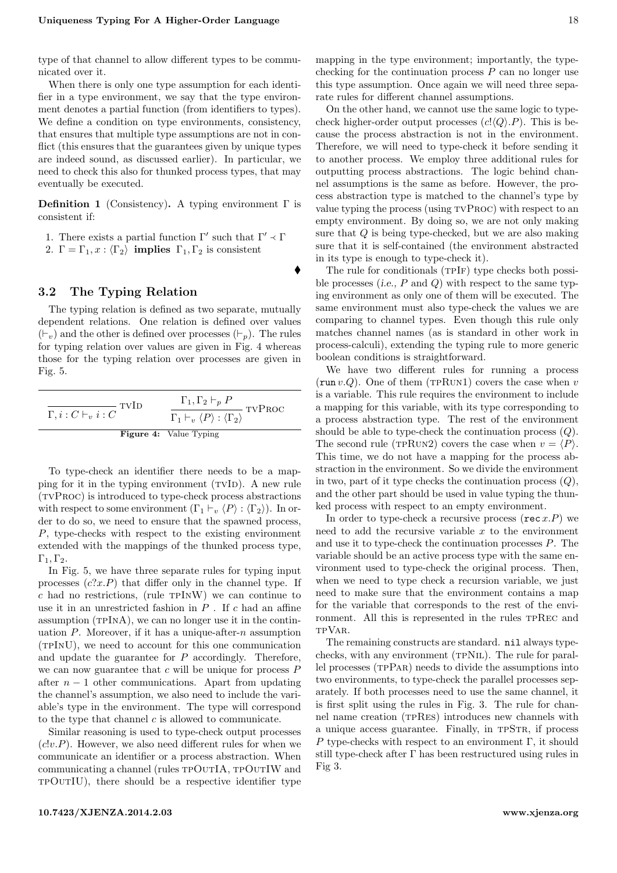type of that channel to allow different types to be communicated over it.

When there is only one type assumption for each identifier in a type environment, we say that the type environment denotes a partial function (from identifiers to types). We define a condition on type environments, consistency, that ensures that multiple type assumptions are not in conflict (this ensures that the guarantees given by unique types are indeed sound, as discussed earlier). In particular, we need to check this also for thunked process types, that may eventually be executed.

<span id="page-4-1"></span>**Definition 1** (Consistency). A typing environment  $\Gamma$  is consistent if:

1. There exists a partial function  $\Gamma'$  such that  $\Gamma' \prec \Gamma$ <br>2.  $\Gamma = \Gamma_{\text{tot}} \times (\Gamma_{\text{tot}})$  implies  $\Gamma_{\text{tot}}$  Fu is consistent

 $\bullet$ 

2.  $\Gamma = \Gamma_1, x : \langle \Gamma_2 \rangle$  implies  $\Gamma_1, \Gamma_2$  is consistent

### 3.2 The Typing Relation

The typing relation is defined as two separate, mutually dependent relations. One relation is defined over values  $(\vdash_v)$  and the other is defined over processes  $(\vdash_p)$ . The rules for typing relation over values are given in Fig. [4](#page-4-2) whereas those for the typing relation over processes are given in Fig. [5.](#page-5-7)

<span id="page-4-2"></span>

| – TVID<br>$\Gamma, i: C \vdash_v i: C$ | $\Gamma_1, \Gamma_2 \vdash_p P$<br>$\frac{P}{T}$ TVPROC<br>$\Gamma_1 \vdash_v \langle P \rangle : \langle \Gamma_2 \rangle$ |
|----------------------------------------|-----------------------------------------------------------------------------------------------------------------------------|
|                                        | <b>Figure 4:</b> Value Typing                                                                                               |

To type-check an identifier there needs to be a mapping for it in the typing environment (TVID). A new rule (tvProc) is introduced to type-check process abstractions with respect to some environment  $(\Gamma_1 \vdash_v \langle P \rangle : \langle \Gamma_2 \rangle)$ . In order to do so, we need to ensure that the spawned process, P, type-checks with respect to the existing environment extended with the mappings of the thunked process type,  $\Gamma_1, \Gamma_2.$ 

In Fig. [5,](#page-5-7) we have three separate rules for typing input processes  $(c?x.P)$  that differ only in the channel type. If  $c$  had no restrictions, (rule  $TPINW$ ) we can continue to use it in an unrestricted fashion in  $P$ . If c had an affine assumption  $(TPINA)$ , we can no longer use it in the continuation  $P$ . Moreover, if it has a unique-after- $n$  assumption (tpInU), we need to account for this one communication and update the guarantee for P accordingly. Therefore, we can now guarantee that  $c$  will be unique for process  $P$ after  $n - 1$  other communications. Apart from updating the channel's assumption, we also need to include the variable's type in the environment. The type will correspond to the type that channel  $c$  is allowed to communicate.

Similar reasoning is used to type-check output processes  $(c!v.P)$ . However, we also need different rules for when we communicate an identifier or a process abstraction. When communicating a channel (rules TPOUTIA, TPOUTIW and tpOutIU), there should be a respective identifier type

mapping in the type environment; importantly, the typechecking for the continuation process  $P$  can no longer use this type assumption. Once again we will need three separate rules for different channel assumptions.

On the other hand, we cannot use the same logic to typecheck higher-order output processes  $(c! \langle Q \rangle \langle P \rangle)$ . This is because the process abstraction is not in the environment. Therefore, we will need to type-check it before sending it to another process. We employ three additional rules for outputting process abstractions. The logic behind channel assumptions is the same as before. However, the process abstraction type is matched to the channel's type by value typing the process (using tvProc) with respect to an empty environment. By doing so, we are not only making sure that Q is being type-checked, but we are also making sure that it is self-contained (the environment abstracted in its type is enough to type-check it).

The rule for conditionals (TPIF) type checks both possible processes (i.e.,  $P$  and  $Q$ ) with respect to the same typing environment as only one of them will be executed. The same environment must also type-check the values we are comparing to channel types. Even though this rule only matches channel names (as is standard in other work in process-calculi), extending the typing rule to more generic boolean conditions is straightforward.

We have two different rules for running a process (run  $v.Q$ ). One of them (TPRUN1) covers the case when v is a variable. This rule requires the environment to include a mapping for this variable, with its type corresponding to a process abstraction type. The rest of the environment should be able to type-check the continuation process  $(Q)$ . The second rule (TPRUN2) covers the case when  $v = \langle P \rangle$ . This time, we do not have a mapping for the process abstraction in the environment. So we divide the environment in two, part of it type checks the continuation process  $(Q)$ , and the other part should be used in value typing the thunked process with respect to an empty environment.

In order to type-check a recursive process (rec  $x.P$ ) we need to add the recursive variable  $x$  to the environment and use it to type-check the continuation processes P. The variable should be an active process type with the same environment used to type-check the original process. Then, when we need to type check a recursion variable, we just need to make sure that the environment contains a map for the variable that corresponds to the rest of the environment. All this is represented in the rules tpRec and tpVar.

<span id="page-4-0"></span>The remaining constructs are standard. nil always typechecks, with any environment (TPNIL). The rule for parallel processes (tpPar) needs to divide the assumptions into two environments, to type-check the parallel processes separately. If both processes need to use the same channel, it is first split using the rules in Fig. [3.](#page-3-0) The rule for channel name creation (TPRES) introduces new channels with a unique access guarantee. Finally, in tpStr, if process P type-checks with respect to an environment  $\Gamma$ , it should still type-check after  $\Gamma$  has been restructured using rules in Fig [3.](#page-3-0)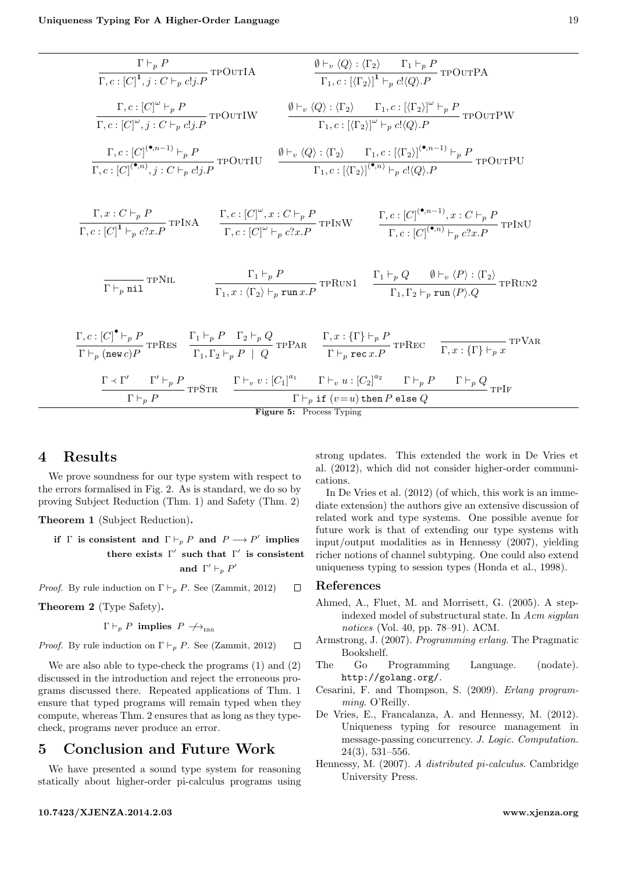<span id="page-5-7"></span>
$$
\frac{\Gamma \vdash_{p} P}{\Gamma, c : [C]^1, j : C \vdash_{p} c!_{j} P} \text{TPOUTIA}
$$
\n
$$
\frac{\emptyset \vdash_{v} \langle Q \rangle : \langle \Gamma_{2} \rangle \quad \Gamma_{1} \vdash_{p} P}{\Gamma, c : [\langle \Gamma_{2} \rangle]^{1} \vdash_{p} c!_{Q} \rangle \cdot P} \text{TPOUTPA}
$$
\n
$$
\frac{\Gamma, c : [C]^{\omega} \vdash_{p} P}{\Gamma, c : [C]^{\omega}, j : C \vdash_{p} c!_{j} P} \text{TPOUTIW}
$$
\n
$$
\frac{\emptyset \vdash_{v} \langle Q \rangle : \langle \Gamma_{2} \rangle \quad \Gamma_{1, c : [\langle \Gamma_{2} \rangle]^{0} \vdash_{p} P} \text{TPOUTPW}}{\Gamma, c : [\langle \Gamma_{2} \rangle]^{(\bullet, n-1)} \vdash_{p} P} \text{TPOUTIU}
$$
\n
$$
\frac{\emptyset \vdash_{v} \langle Q \rangle : \langle \Gamma_{2} \rangle \quad \Gamma_{1, c : [\langle \Gamma_{2} \rangle]^{(\bullet, n-1)} \vdash_{p} P} \text{TPOUTPU}}
$$
\n
$$
\frac{\Gamma, c : [C]^{\bullet, n}, j : C \vdash_{p} c!_{j} P} \text{TPOUTIU}
$$
\n
$$
\frac{\emptyset \vdash_{v} \langle Q \rangle : \langle \Gamma_{2} \rangle \quad \Gamma_{1, c : [\langle \Gamma_{2} \rangle]^{(\bullet, n-1)} \vdash_{p} P} \text{TPOUTPU}}
$$
\n
$$
\frac{\Gamma, c : [C]^{\bullet, n}, j : C \vdash_{p} P \text{TPIVA}}{\Gamma, c : [C]^{\omega} \vdash_{p} c?_{3} P} \text{TPINW}
$$
\n
$$
\frac{\Gamma, c : [C]^{\bullet, n} \vdash_{p} c?_{3} P}{\Gamma, c : [C]^{\bullet, n} \vdash_{p} c?_{3} P} \text{TPNU}
$$
\n
$$
\frac{\Gamma, \vdash_{p} P}{\Gamma, \vdash_{p} n \text{ii}} \text{TPNL}
$$
\n
$$
\frac{\Gamma, \vdash_{p} P}{\Gamma, \vdash_{p} n \text{ii}} \text{TPNE}
$$
\n
$$
\frac{\Gamma, \vdash_{p} P}{\Gamma, \vdash_{p} P
$$

Figure 5: Process Typing

## 4 Results

We prove soundness for our type system with respect to the errors formalised in Fig. [2.](#page-2-0) As is standard, we do so by proving Subject Reduction (Thm. [1\)](#page-5-8) and Safety (Thm. [2\)](#page-5-9)

<span id="page-5-8"></span>Theorem 1 (Subject Reduction).

if  $\Gamma$  is consistent and  $\Gamma \vdash_p P$  and  $P \longrightarrow P'$  implies there exists  $\Gamma'$  such that  $\Gamma'$  is consistent and  $\Gamma' \vdash_p P'$ 

*Proof.* By rule induction on  $\Gamma \vdash_p P$ . See (Zammit, [2012\)](#page-6-4)  $\Box$ 

<span id="page-5-9"></span>Theorem 2 (Type Safety).

 $\Gamma \vdash_p P$  implies  $P \nrightarrow_{\text{rep}} P$ 

*Proof.* By rule induction on  $\Gamma \vdash_p P$ . See (Zammit, [2012\)](#page-6-4)  $\Box$ 

We are also able to type-check the programs [\(1\)](#page-0-1) and [\(2\)](#page-1-0) discussed in the introduction and reject the erroneous programs discussed there. Repeated applications of Thm. [1](#page-5-8) ensure that typed programs will remain typed when they compute, whereas Thm. [2](#page-5-9) ensures that as long as they typecheck, programs never produce an error.

## <span id="page-5-5"></span>5 Conclusion and Future Work

We have presented a sound type system for reasoning statically about higher-order pi-calculus programs using

strong updates. This extended the work in De Vries et al. [\(2012\)](#page-5-3), which did not consider higher-order communications.

In De Vries et al. [\(2012\)](#page-5-3) (of which, this work is an immediate extension) the authors give an extensive discussion of related work and type systems. One possible avenue for future work is that of extending our type systems with input/output modalities as in Hennessy [\(2007\)](#page-5-6), yielding richer notions of channel subtyping. One could also extend uniqueness typing to session types (Honda et al., [1998\)](#page-6-5).

#### References

- <span id="page-5-4"></span>Ahmed, A., Fluet, M. and Morrisett, G. (2005). A stepindexed model of substructural state. In Acm sigplan notices (Vol. 40, pp. 78–91). ACM.
- <span id="page-5-1"></span>Armstrong, J. (2007). Programming erlang. The Pragmatic Bookshelf.
- <span id="page-5-0"></span>The Go Programming Language. (nodate). http://golang.org/.
- <span id="page-5-2"></span>Cesarini, F. and Thompson, S. (2009). Erlang programming. O'Reilly.
- <span id="page-5-3"></span>De Vries, E., Francalanza, A. and Hennessy, M. (2012). Uniqueness typing for resource management in message-passing concurrency. J. Logic. Computation. 24(3), 531–556.
- <span id="page-5-6"></span>Hennessy, M. (2007). A distributed pi-calculus. Cambridge University Press.